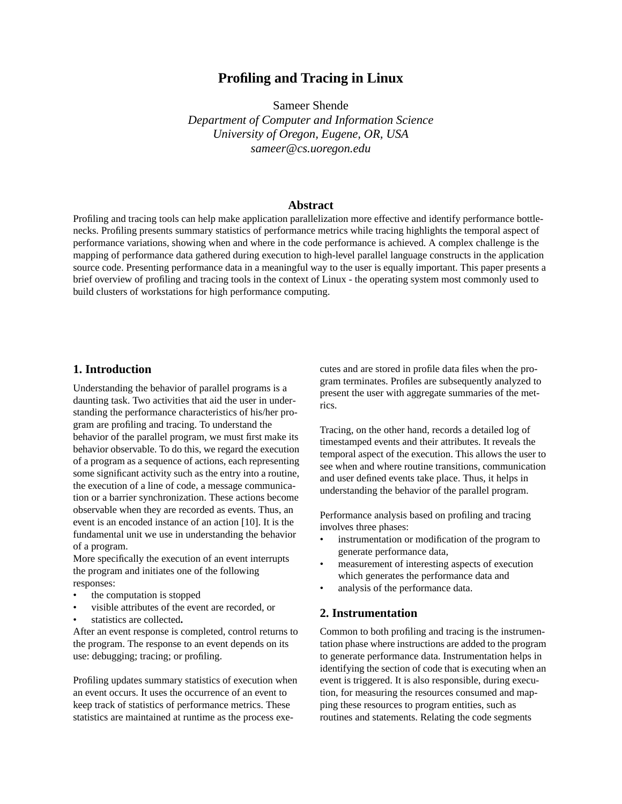# **Profiling and Tracing in Linux**

Sameer Shende

*Department of Computer and Information Science University of Oregon, Eugene, OR, USA sameer@cs.uoregon.edu*

#### **Abstract**

Profiling and tracing tools can help make application parallelization more effective and identify performance bottlenecks. Profiling presents summary statistics of performance metrics while tracing highlights the temporal aspect of performance variations, showing when and where in the code performance is achieved. A complex challenge is the mapping of performance data gathered during execution to high-level parallel language constructs in the application source code. Presenting performance data in a meaningful way to the user is equally important. This paper presents a brief overview of profiling and tracing tools in the context of Linux - the operating system most commonly used to build clusters of workstations for high performance computing.

### **1. Introduction**

Understanding the behavior of parallel programs is a daunting task. Two activities that aid the user in understanding the performance characteristics of his/her program are profiling and tracing. To understand the behavior of the parallel program, we must first make its behavior observable. To do this, we regard the execution of a program as a sequence of actions, each representing some significant activity such as the entry into a routine, the execution of a line of code, a message communication or a barrier synchronization. These actions become observable when they are recorded as events. Thus, an event is an encoded instance of an action [10]. It is the fundamental unit we use in understanding the behavior of a program.

More specifically the execution of an event interrupts the program and initiates one of the following responses:

- the computation is stopped
- visible attributes of the event are recorded, or
- statistics are collected**.**

After an event response is completed, control returns to the program. The response to an event depends on its use: debugging; tracing; or profiling.

Profiling updates summary statistics of execution when an event occurs. It uses the occurrence of an event to keep track of statistics of performance metrics. These statistics are maintained at runtime as the process executes and are stored in profile data files when the program terminates. Profiles are subsequently analyzed to present the user with aggregate summaries of the metrics.

Tracing, on the other hand, records a detailed log of timestamped events and their attributes. It reveals the temporal aspect of the execution. This allows the user to see when and where routine transitions, communication and user defined events take place. Thus, it helps in understanding the behavior of the parallel program.

Performance analysis based on profiling and tracing involves three phases:

- instrumentation or modification of the program to generate performance data,
- measurement of interesting aspects of execution which generates the performance data and
- analysis of the performance data.

### **2. Instrumentation**

Common to both profiling and tracing is the instrumentation phase where instructions are added to the program to generate performance data. Instrumentation helps in identifying the section of code that is executing when an event is triggered. It is also responsible, during execution, for measuring the resources consumed and mapping these resources to program entities, such as routines and statements. Relating the code segments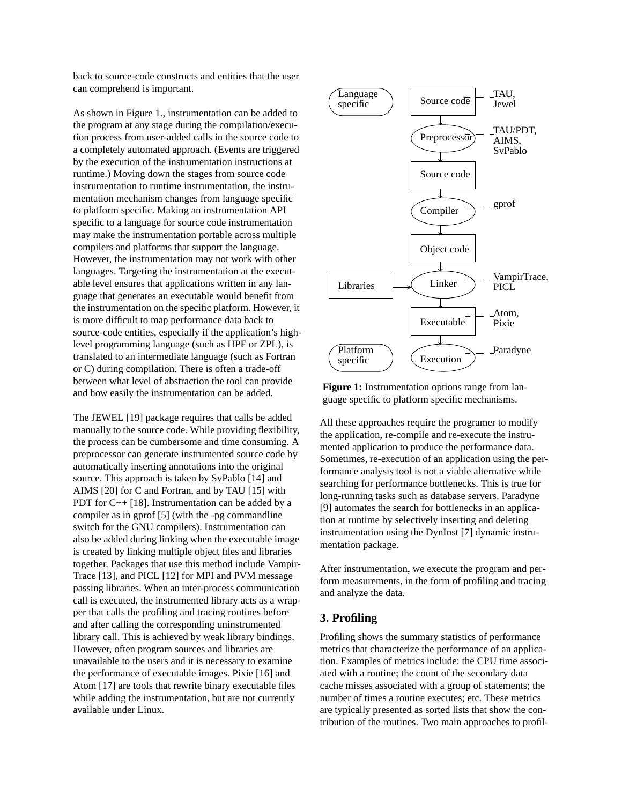back to source-code constructs and entities that the user can comprehend is important.

As shown in Figure 1., instrumentation can be added to the program at any stage during the compilation/execution process from user-added calls in the source code to a completely automated approach. (Events are triggered by the execution of the instrumentation instructions at runtime.) Moving down the stages from source code instrumentation to runtime instrumentation, the instrumentation mechanism changes from language specific to platform specific. Making an instrumentation API specific to a language for source code instrumentation may make the instrumentation portable across multiple compilers and platforms that support the language. However, the instrumentation may not work with other languages. Targeting the instrumentation at the executable level ensures that applications written in any language that generates an executable would benefit from the instrumentation on the specific platform. However, it is more difficult to map performance data back to source-code entities, especially if the application's highlevel programming language (such as HPF or ZPL), is translated to an intermediate language (such as Fortran or C) during compilation. There is often a trade-off between what level of abstraction the tool can provide and how easily the instrumentation can be added.

The JEWEL [19] package requires that calls be added manually to the source code. While providing flexibility, the process can be cumbersome and time consuming. A preprocessor can generate instrumented source code by automatically inserting annotations into the original source. This approach is taken by SvPablo [14] and AIMS [20] for C and Fortran, and by TAU [15] with PDT for C++ [18]. Instrumentation can be added by a compiler as in gprof [5] (with the -pg commandline switch for the GNU compilers). Instrumentation can also be added during linking when the executable image is created by linking multiple object files and libraries together. Packages that use this method include Vampir-Trace [13], and PICL [12] for MPI and PVM message passing libraries. When an inter-process communication call is executed, the instrumented library acts as a wrapper that calls the profiling and tracing routines before and after calling the corresponding uninstrumented library call. This is achieved by weak library bindings. However, often program sources and libraries are unavailable to the users and it is necessary to examine the performance of executable images. Pixie [16] and Atom [17] are tools that rewrite binary executable files while adding the instrumentation, but are not currently available under Linux.



**Figure 1:** Instrumentation options range from language specific to platform specific mechanisms.

All these approaches require the programer to modify the application, re-compile and re-execute the instrumented application to produce the performance data. Sometimes, re-execution of an application using the performance analysis tool is not a viable alternative while searching for performance bottlenecks. This is true for long-running tasks such as database servers. Paradyne [9] automates the search for bottlenecks in an application at runtime by selectively inserting and deleting instrumentation using the DynInst [7] dynamic instrumentation package.

After instrumentation, we execute the program and perform measurements, in the form of profiling and tracing and analyze the data.

### **3. Profiling**

Profiling shows the summary statistics of performance metrics that characterize the performance of an application. Examples of metrics include: the CPU time associated with a routine; the count of the secondary data cache misses associated with a group of statements; the number of times a routine executes; etc. These metrics are typically presented as sorted lists that show the contribution of the routines. Two main approaches to profil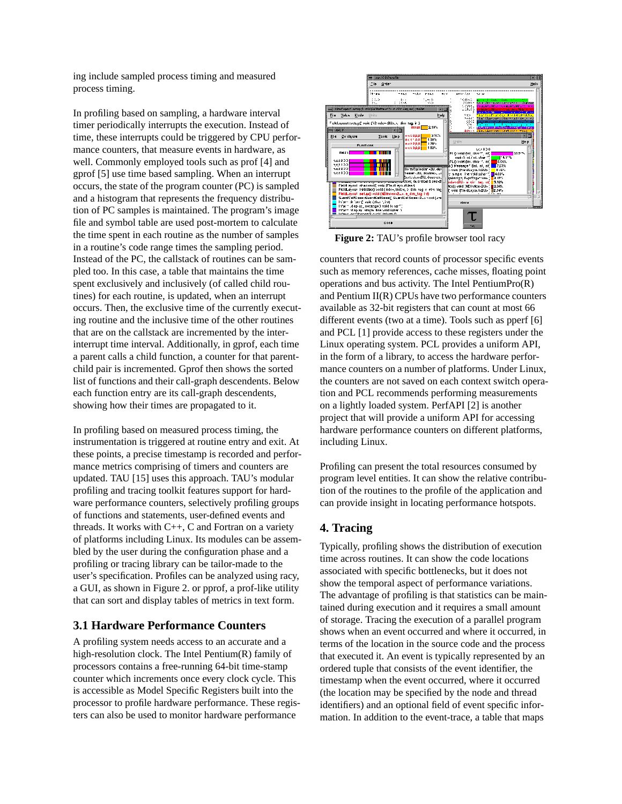ing include sampled process timing and measured process timing.

In profiling based on sampling, a hardware interval timer periodically interrupts the execution. Instead of time, these interrupts could be triggered by CPU performance counters, that measure events in hardware, as well. Commonly employed tools such as prof [4] and gprof [5] use time based sampling. When an interrupt occurs, the state of the program counter (PC) is sampled and a histogram that represents the frequency distribution of PC samples is maintained. The program's image file and symbol table are used post-mortem to calculate the time spent in each routine as the number of samples in a routine's code range times the sampling period. Instead of the PC, the callstack of routines can be sampled too. In this case, a table that maintains the time spent exclusively and inclusively (of called child routines) for each routine, is updated, when an interrupt occurs. Then, the exclusive time of the currently executing routine and the inclusive time of the other routines that are on the callstack are incremented by the interinterrupt time interval. Additionally, in gprof, each time a parent calls a child function, a counter for that parentchild pair is incremented. Gprof then shows the sorted list of functions and their call-graph descendents. Below each function entry are its call-graph descendents, showing how their times are propagated to it.

In profiling based on measured process timing, the instrumentation is triggered at routine entry and exit. At these points, a precise timestamp is recorded and performance metrics comprising of timers and counters are updated. TAU [15] uses this approach. TAU's modular profiling and tracing toolkit features support for hardware performance counters, selectively profiling groups of functions and statements, user-defined events and threads. It works with  $C++$ , C and Fortran on a variety of platforms including Linux. Its modules can be assembled by the user during the configuration phase and a profiling or tracing library can be tailor-made to the user's specification. Profiles can be analyzed using racy, a GUI, as shown in Figure 2. or pprof, a prof-like utility that can sort and display tables of metrics in text form.

## **3.1 Hardware Performance Counters**

A profiling system needs access to an accurate and a high-resolution clock. The Intel Pentium(R) family of processors contains a free-running 64-bit time-stamp counter which increments once every clock cycle. This is accessible as Model Specific Registers built into the processor to profile hardware performance. These registers can also be used to monitor hardware performance



**Figure 2:** TAU's profile browser tool racy

counters that record counts of processor specific events such as memory references, cache misses, floating point operations and bus activity. The Intel PentiumPro(R) and Pentium II(R) CPUs have two performance counters available as 32-bit registers that can count at most 66 different events (two at a time). Tools such as pperf [6] and PCL [1] provide access to these registers under the Linux operating system. PCL provides a uniform API, in the form of a library, to access the hardware performance counters on a number of platforms. Under Linux, the counters are not saved on each context switch operation and PCL recommends performing measurements on a lightly loaded system. PerfAPI [2] is another project that will provide a uniform API for accessing hardware performance counters on different platforms, including Linux.

Profiling can present the total resources consumed by program level entities. It can show the relative contribution of the routines to the profile of the application and can provide insight in locating performance hotspots.

## **4. Tracing**

Typically, profiling shows the distribution of execution time across routines. It can show the code locations associated with specific bottlenecks, but it does not show the temporal aspect of performance variations. The advantage of profiling is that statistics can be maintained during execution and it requires a small amount of storage. Tracing the execution of a parallel program shows when an event occurred and where it occurred, in terms of the location in the source code and the process that executed it. An event is typically represented by an ordered tuple that consists of the event identifier, the timestamp when the event occurred, where it occurred (the location may be specified by the node and thread identifiers) and an optional field of event specific information. In addition to the event-trace, a table that maps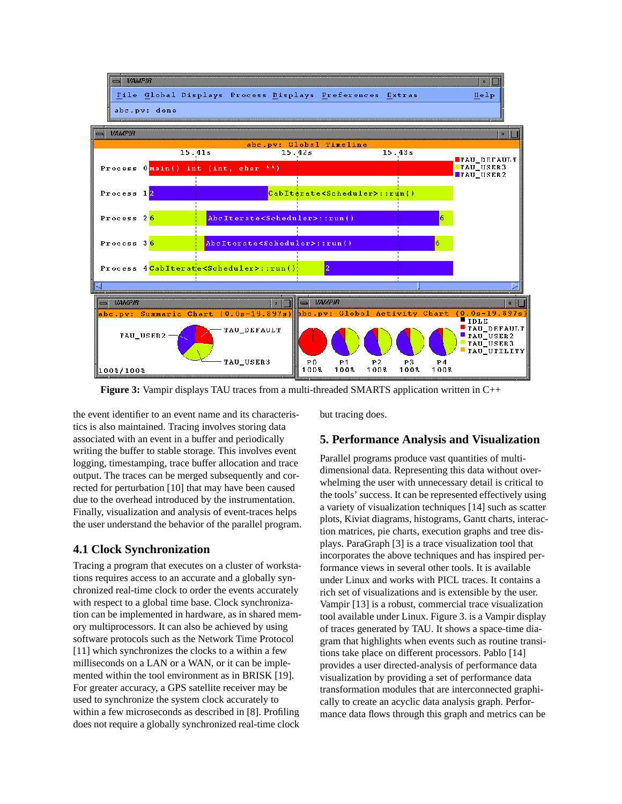

**Figure 3:** Vampir displays TAU traces from a multi-threaded SMARTS application written in C++

the event identifier to an event name and its characteristics is also maintained. Tracing involves storing data associated with an event in a buffer and periodically writing the buffer to stable storage. This involves event logging, timestamping, trace buffer allocation and trace output. The traces can be merged subsequently and corrected for perturbation [10] that may have been caused due to the overhead introduced by the instrumentation. Finally, visualization and analysis of event-traces helps the user understand the behavior of the parallel program.

## **4.1 Clock Synchronization**

Tracing a program that executes on a cluster of workstations requires access to an accurate and a globally synchronized real-time clock to order the events accurately with respect to a global time base. Clock synchronization can be implemented in hardware, as in shared memory multiprocessors. It can also be achieved by using software protocols such as the Network Time Protocol [11] which synchronizes the clocks to a within a few milliseconds on a LAN or a WAN, or it can be implemented within the tool environment as in BRISK [19]. For greater accuracy, a GPS satellite receiver may be used to synchronize the system clock accurately to within a few microseconds as described in [8]. Profiling does not require a globally synchronized real-time clock

but tracing does.

## **5. Performance Analysis and Visualization**

Parallel programs produce vast quantities of multidimensional data. Representing this data without overwhelming the user with unnecessary detail is critical to the tools' success. It can be represented effectively using a variety of visualization techniques [14] such as scatter plots, Kiviat diagrams, histograms, Gantt charts, interaction matrices, pie charts, execution graphs and tree displays. ParaGraph [3] is a trace visualization tool that incorporates the above techniques and has inspired performance views in several other tools. It is available under Linux and works with PICL traces. It contains a rich set of visualizations and is extensible by the user. Vampir [13] is a robust, commercial trace visualization tool available under Linux. Figure 3. is a Vampir display of traces generated by TAU. It shows a space-time diagram that highlights when events such as routine transitions take place on different processors. Pablo [14] provides a user directed-analysis of performance data visualization by providing a set of performance data transformation modules that are interconnected graphically to create an acyclic data analysis graph. Performance data flows through this graph and metrics can be